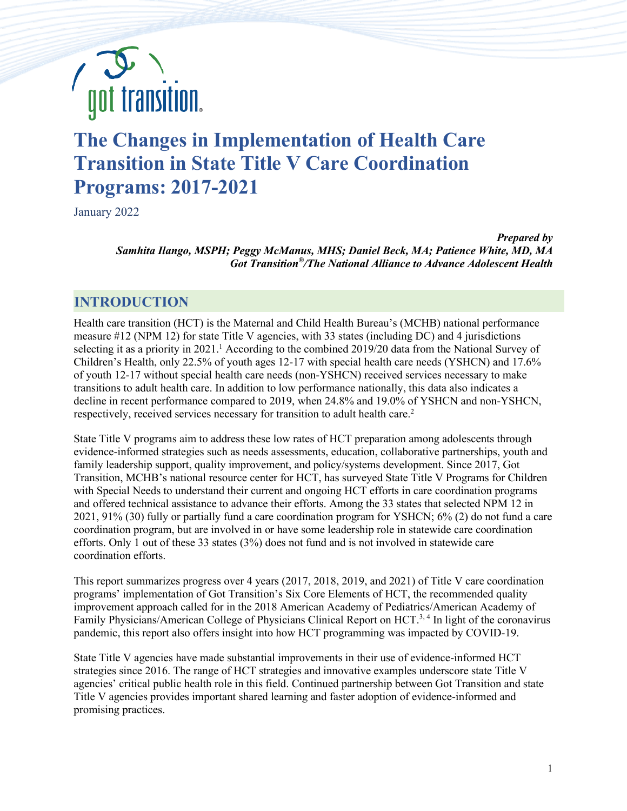

# **The Changes in Implementation of Health Care Transition in State Title V Care Coordination Programs: 2017-2021**

January 2022

*Prepared by Samhita Ilango, MSPH; Peggy McManus, MHS; Daniel Beck, MA; Patience White, MD, MA Got Transition®/The National Alliance to Advance Adolescent Health*

## **INTRODUCTION**

Health care transition (HCT) is the Maternal and Child Health Bureau's (MCHB) national performance measure #12 (NPM 12) for state Title V agencies, with 33 states (including DC) and 4 jurisdictions selecting it as a priority in 2021.<sup>1</sup> According to the combined 2019/20 data from the National Survey of Children's Health, only 22.5% of youth ages 12-17 with special health care needs (YSHCN) and 17.6% of youth 12-17 without special health care needs (non-YSHCN) received services necessary to make transitions to adult health care. In addition to low performance nationally, this data also indicates a decline in recent performance compared to 2019, when 24.8% and 19.0% of YSHCN and non-YSHCN, respectively, received services necessary for transition to adult health care.<sup>2</sup>

State Title V programs aim to address these low rates of HCT preparation among adolescents through evidence-informed strategies such as needs assessments, education, collaborative partnerships, youth and family leadership support, quality improvement, and policy/systems development. Since 2017, Got Transition, MCHB's national resource center for HCT, has surveyed State Title V Programs for Children with Special Needs to understand their current and ongoing HCT efforts in care coordination programs and offered technical assistance to advance their efforts. Among the 33 states that selected NPM 12 in 2021, 91% (30) fully or partially fund a care coordination program for YSHCN; 6% (2) do not fund a care coordination program, but are involved in or have some leadership role in statewide care coordination efforts. Only 1 out of these 33 states (3%) does not fund and is not involved in statewide care coordination efforts.

This report summarizes progress over 4 years (2017, 2018, 2019, and 2021) of Title V care coordination programs' implementation of Got Transition's Six Core Elements of HCT, the recommended quality improvement approach called for in the 2018 American Academy of Pediatrics/American Academy of Family Physicians/American College of Physicians Clinical Report on HCT.<sup>3, 4</sup> In light of the coronavirus pandemic, this report also offers insight into how HCT programming was impacted by COVID-19.

State Title V agencies have made substantial improvements in their use of evidence-informed HCT strategies since 2016. The range of HCT strategies and innovative examples underscore state Title V agencies' critical public health role in this field. Continued partnership between Got Transition and state Title V agencies provides important shared learning and faster adoption of evidence-informed and promising practices.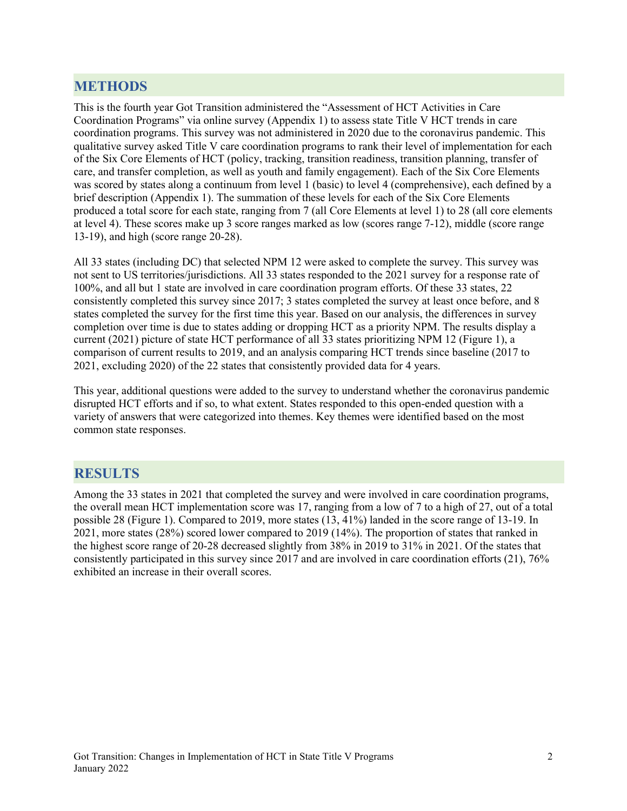## **METHODS**

This is the fourth year Got Transition administered the "Assessment of HCT Activities in Care Coordination Programs" via online survey (Appendix 1) to assess state Title V HCT trends in care coordination programs. This survey was not administered in 2020 due to the coronavirus pandemic. This qualitative survey asked Title V care coordination programs to rank their level of implementation for each of the Six Core Elements of HCT (policy, tracking, transition readiness, transition planning, transfer of care, and transfer completion, as well as youth and family engagement). Each of the Six Core Elements was scored by states along a continuum from level 1 (basic) to level 4 (comprehensive), each defined by a brief description (Appendix 1). The summation of these levels for each of the Six Core Elements produced a total score for each state, ranging from 7 (all Core Elements at level 1) to 28 (all core elements at level 4). These scores make up 3 score ranges marked as low (scores range 7-12), middle (score range 13-19), and high (score range 20-28).

All 33 states (including DC) that selected NPM 12 were asked to complete the survey. This survey was not sent to US territories/jurisdictions. All 33 states responded to the 2021 survey for a response rate of 100%, and all but 1 state are involved in care coordination program efforts. Of these 33 states, 22 consistently completed this survey since 2017; 3 states completed the survey at least once before, and 8 states completed the survey for the first time this year. Based on our analysis, the differences in survey completion over time is due to states adding or dropping HCT as a priority NPM. The results display a current (2021) picture of state HCT performance of all 33 states prioritizing NPM 12 (Figure 1), a comparison of current results to 2019, and an analysis comparing HCT trends since baseline (2017 to 2021, excluding 2020) of the 22 states that consistently provided data for 4 years.

This year, additional questions were added to the survey to understand whether the coronavirus pandemic disrupted HCT efforts and if so, to what extent. States responded to this open-ended question with a variety of answers that were categorized into themes. Key themes were identified based on the most common state responses.

### **RESULTS**

Among the 33 states in 2021 that completed the survey and were involved in care coordination programs, the overall mean HCT implementation score was 17, ranging from a low of 7 to a high of 27, out of a total possible 28 (Figure 1). Compared to 2019, more states (13, 41%) landed in the score range of 13-19. In 2021, more states (28%) scored lower compared to 2019 (14%). The proportion of states that ranked in the highest score range of 20-28 decreased slightly from 38% in 2019 to 31% in 2021. Of the states that consistently participated in this survey since 2017 and are involved in care coordination efforts (21), 76% exhibited an increase in their overall scores.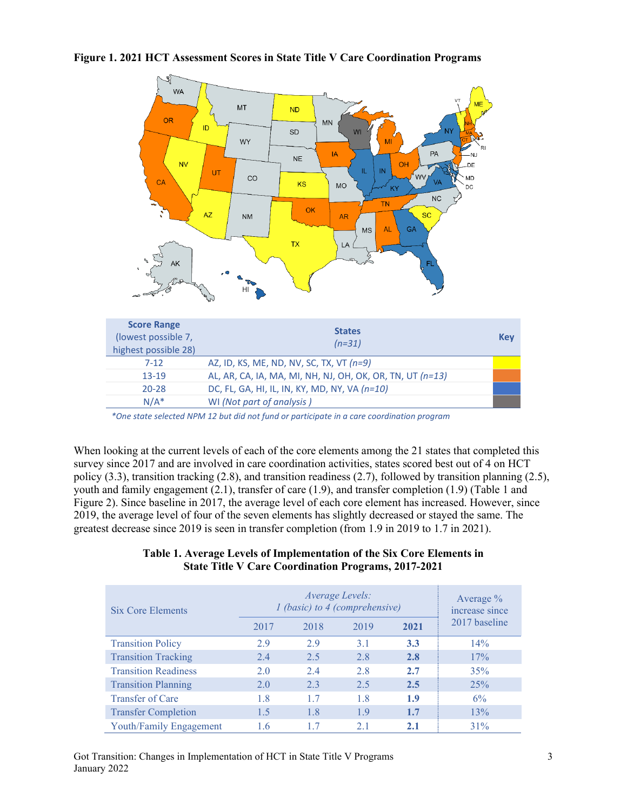**Figure 1. 2021 HCT Assessment Scores in State Title V Care Coordination Programs**



*\*One state selected NPM 12 but did not fund or participate in a care coordination program*

When looking at the current levels of each of the core elements among the 21 states that completed this survey since 2017 and are involved in care coordination activities, states scored best out of 4 on HCT policy (3.3), transition tracking (2.8), and transition readiness (2.7), followed by transition planning (2.5), youth and family engagement (2.1), transfer of care (1.9), and transfer completion (1.9) (Table 1 and Figure 2). Since baseline in 2017, the average level of each core element has increased. However, since 2019, the average level of four of the seven elements has slightly decreased or stayed the same. The greatest decrease since 2019 is seen in transfer completion (from 1.9 in 2019 to 1.7 in 2021).

#### **Table 1. Average Levels of Implementation of the Six Core Elements in State Title V Care Coordination Programs, 2017-2021**

| <b>Six Core Elements</b>    | Average Levels:<br>1 (basic) to 4 (comprehensive) |      |      |      | Average $\%$<br>increase since |
|-----------------------------|---------------------------------------------------|------|------|------|--------------------------------|
|                             | 2017                                              | 2018 | 2019 | 2021 | 2017 baseline                  |
| <b>Transition Policy</b>    | 2.9                                               | 2.9  | 3.1  | 3.3  | $14\%$                         |
| <b>Transition Tracking</b>  | 2.4                                               | 2.5  | 2.8  | 2.8  | 17%                            |
| <b>Transition Readiness</b> | 2.0                                               | 2.4  | 2.8  | 2.7  | 35%                            |
| <b>Transition Planning</b>  | 2.0                                               | 2.3  | 2.5  | 2.5  | 25%                            |
| Transfer of Care            | 1.8                                               | 1.7  | 1.8  | 1.9  | $6\%$                          |
| <b>Transfer Completion</b>  | 1.5                                               | 1.8  | 1.9  | 1.7  | 13%                            |
| Youth/Family Engagement     | 1.6                                               | 1.7  | 2.1  | 2.1  | 31%                            |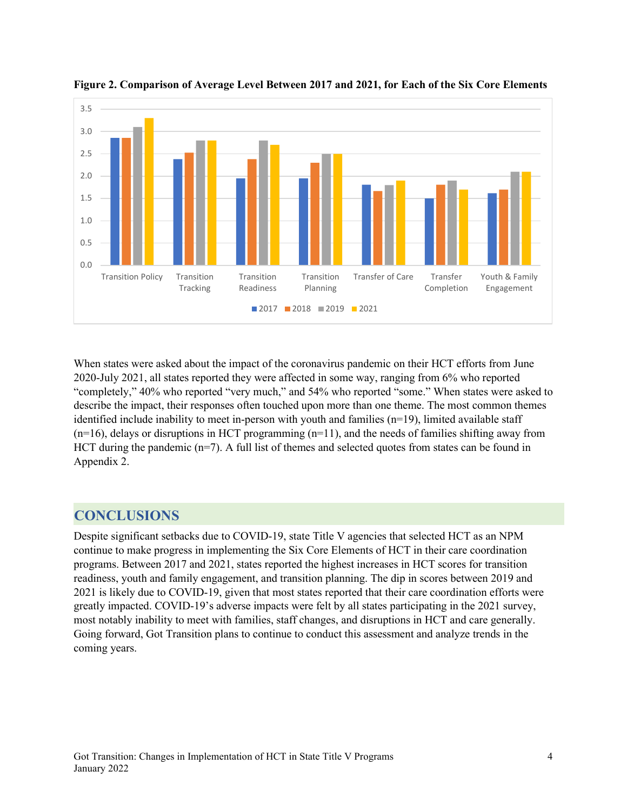



When states were asked about the impact of the coronavirus pandemic on their HCT efforts from June 2020-July 2021, all states reported they were affected in some way, ranging from 6% who reported "completely," 40% who reported "very much," and 54% who reported "some." When states were asked to describe the impact, their responses often touched upon more than one theme. The most common themes identified include inability to meet in-person with youth and families  $(n=19)$ , limited available staff  $(n=16)$ , delays or disruptions in HCT programming  $(n=11)$ , and the needs of families shifting away from HCT during the pandemic ( $n=7$ ). A full list of themes and selected quotes from states can be found in Appendix 2.

## **CONCLUSIONS**

Despite significant setbacks due to COVID-19, state Title V agencies that selected HCT as an NPM continue to make progress in implementing the Six Core Elements of HCT in their care coordination programs. Between 2017 and 2021, states reported the highest increases in HCT scores for transition readiness, youth and family engagement, and transition planning. The dip in scores between 2019 and 2021 is likely due to COVID-19, given that most states reported that their care coordination efforts were greatly impacted. COVID-19's adverse impacts were felt by all states participating in the 2021 survey, most notably inability to meet with families, staff changes, and disruptions in HCT and care generally. Going forward, Got Transition plans to continue to conduct this assessment and analyze trends in the coming years.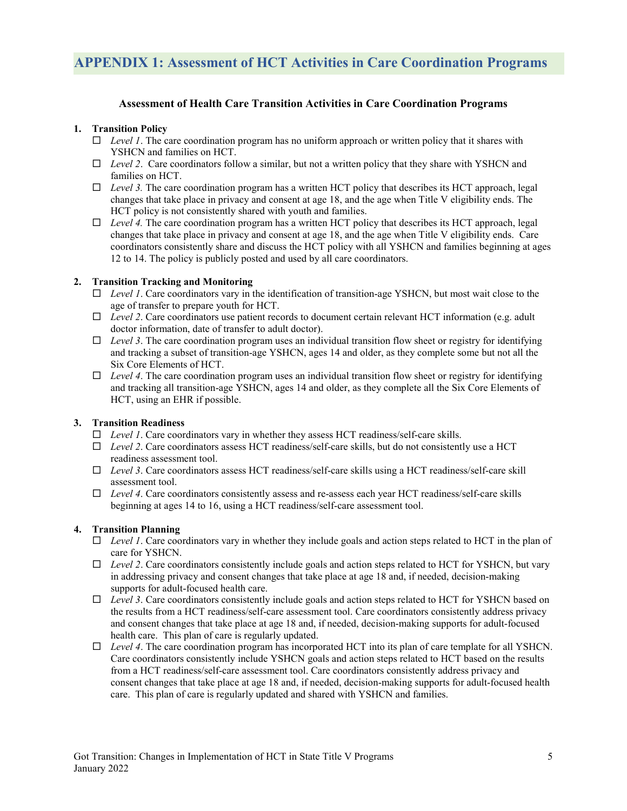#### **Assessment of Health Care Transition Activities in Care Coordination Programs**

#### **1. Transition Policy**

- $\Box$  *Level 1*. The care coordination program has no uniform approach or written policy that it shares with YSHCN and families on HCT.
- *Level 2*. Care coordinators follow a similar, but not a written policy that they share with YSHCN and families on HCT.
- $\Box$  *Level 3.* The care coordination program has a written HCT policy that describes its HCT approach, legal changes that take place in privacy and consent at age 18, and the age when Title V eligibility ends. The HCT policy is not consistently shared with youth and families.
- $\Box$  *Level 4.* The care coordination program has a written HCT policy that describes its HCT approach, legal changes that take place in privacy and consent at age 18, and the age when Title V eligibility ends. Care coordinators consistently share and discuss the HCT policy with all YSHCN and families beginning at ages 12 to 14. The policy is publicly posted and used by all care coordinators.

#### **2. Transition Tracking and Monitoring**

- *Level 1*. Care coordinators vary in the identification of transition-age YSHCN, but most wait close to the age of transfer to prepare youth for HCT.
- *Level 2*. Care coordinators use patient records to document certain relevant HCT information (e.g. adult doctor information, date of transfer to adult doctor).
- $\Box$  *Level 3*. The care coordination program uses an individual transition flow sheet or registry for identifying and tracking a subset of transition-age YSHCN, ages 14 and older, as they complete some but not all the Six Core Elements of HCT.
- *Level 4*. The care coordination program uses an individual transition flow sheet or registry for identifying and tracking all transition-age YSHCN, ages 14 and older, as they complete all the Six Core Elements of HCT, using an EHR if possible.

#### **3. Transition Readiness**

- *Level 1*. Care coordinators vary in whether they assess HCT readiness/self-care skills.
- *Level 2*. Care coordinators assess HCT readiness/self-care skills, but do not consistently use a HCT readiness assessment tool.
- *Level 3*. Care coordinators assess HCT readiness/self-care skills using a HCT readiness/self-care skill assessment tool.
- *Level 4*. Care coordinators consistently assess and re-assess each year HCT readiness/self-care skills beginning at ages 14 to 16, using a HCT readiness/self-care assessment tool.

#### **4. Transition Planning**

- *Level 1*. Care coordinators vary in whether they include goals and action steps related to HCT in the plan of care for YSHCN.
- $\Box$  *Level 2*. Care coordinators consistently include goals and action steps related to HCT for YSHCN, but vary in addressing privacy and consent changes that take place at age 18 and, if needed, decision-making supports for adult-focused health care.
- *Level 3*. Care coordinators consistently include goals and action steps related to HCT for YSHCN based on the results from a HCT readiness/self-care assessment tool. Care coordinators consistently address privacy and consent changes that take place at age 18 and, if needed, decision-making supports for adult-focused health care. This plan of care is regularly updated.
- *Level 4*. The care coordination program has incorporated HCT into its plan of care template for all YSHCN. Care coordinators consistently include YSHCN goals and action steps related to HCT based on the results from a HCT readiness/self-care assessment tool. Care coordinators consistently address privacy and consent changes that take place at age 18 and, if needed, decision-making supports for adult-focused health care. This plan of care is regularly updated and shared with YSHCN and families.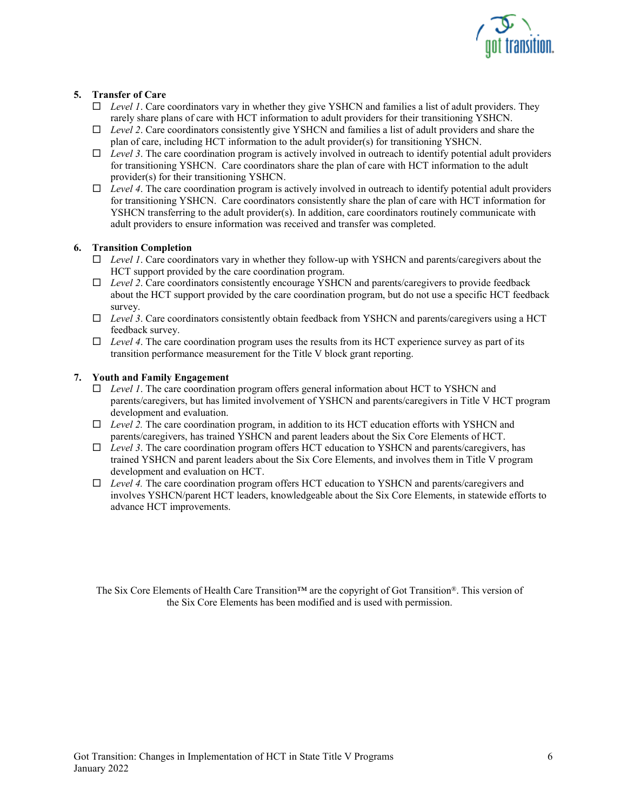

#### **5. Transfer of Care**

- *Level 1*. Care coordinators vary in whether they give YSHCN and families a list of adult providers. They rarely share plans of care with HCT information to adult providers for their transitioning YSHCN.
- *Level 2*. Care coordinators consistently give YSHCN and families a list of adult providers and share the plan of care, including HCT information to the adult provider(s) for transitioning YSHCN.
- $\Box$  *Level 3*. The care coordination program is actively involved in outreach to identify potential adult providers for transitioning YSHCN. Care coordinators share the plan of care with HCT information to the adult provider(s) for their transitioning YSHCN.
- $\Box$  *Level 4*. The care coordination program is actively involved in outreach to identify potential adult providers for transitioning YSHCN. Care coordinators consistently share the plan of care with HCT information for YSHCN transferring to the adult provider(s). In addition, care coordinators routinely communicate with adult providers to ensure information was received and transfer was completed.

#### **6. Transition Completion**

- *Level 1*. Care coordinators vary in whether they follow-up with YSHCN and parents/caregivers about the HCT support provided by the care coordination program.
- *Level 2*. Care coordinators consistently encourage YSHCN and parents/caregivers to provide feedback about the HCT support provided by the care coordination program, but do not use a specific HCT feedback survey.
- *Level 3*. Care coordinators consistently obtain feedback from YSHCN and parents/caregivers using a HCT feedback survey.
- *Level 4*. The care coordination program uses the results from its HCT experience survey as part of its transition performance measurement for the Title V block grant reporting.

#### **7. Youth and Family Engagement**

- *Level 1*. The care coordination program offers general information about HCT to YSHCN and parents/caregivers, but has limited involvement of YSHCN and parents/caregivers in Title V HCT program development and evaluation.
- $\Box$  *Level 2.* The care coordination program, in addition to its HCT education efforts with YSHCN and parents/caregivers, has trained YSHCN and parent leaders about the Six Core Elements of HCT.
- *Level 3*. The care coordination program offers HCT education to YSHCN and parents/caregivers, has trained YSHCN and parent leaders about the Six Core Elements, and involves them in Title V program development and evaluation on HCT.
- *Level 4.* The care coordination program offers HCT education to YSHCN and parents/caregivers and involves YSHCN/parent HCT leaders, knowledgeable about the Six Core Elements, in statewide efforts to advance HCT improvements.

The Six Core Elements of Health Care Transition™ are the copyright of Got Transition®. This version of the Six Core Elements has been modified and is used with permission.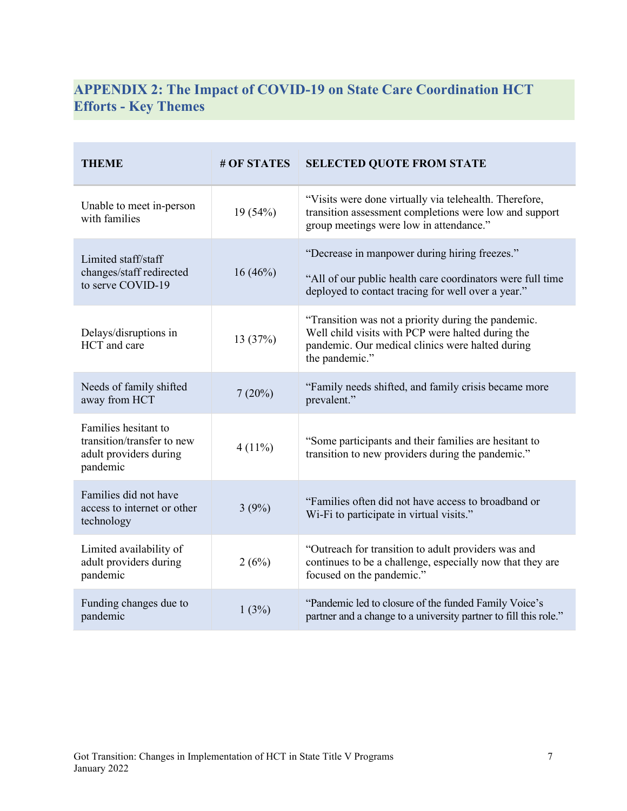# **APPENDIX 2: The Impact of COVID-19 on State Care Coordination HCT Efforts - Key Themes**

÷

| <b>THEME</b>                                                                             | # OF STATES | <b>SELECTED QUOTE FROM STATE</b>                                                                                                                                               |  |
|------------------------------------------------------------------------------------------|-------------|--------------------------------------------------------------------------------------------------------------------------------------------------------------------------------|--|
| Unable to meet in-person<br>with families                                                | 19(54%)     | "Visits were done virtually via telehealth. Therefore,<br>transition assessment completions were low and support<br>group meetings were low in attendance."                    |  |
| Limited staff/staff<br>changes/staff redirected<br>to serve COVID-19                     | 16(46%)     | "Decrease in manpower during hiring freezes."<br>"All of our public health care coordinators were full time<br>deployed to contact tracing for well over a year."              |  |
| Delays/disruptions in<br>HCT and care                                                    | 13(37%)     | "Transition was not a priority during the pandemic.<br>Well child visits with PCP were halted during the<br>pandemic. Our medical clinics were halted during<br>the pandemic." |  |
| Needs of family shifted<br>away from HCT                                                 | 7(20%)      | "Family needs shifted, and family crisis became more<br>prevalent."                                                                                                            |  |
| Families hesitant to<br>transition/transfer to new<br>adult providers during<br>pandemic | $4(11\%)$   | "Some participants and their families are hesitant to<br>transition to new providers during the pandemic."                                                                     |  |
| Families did not have<br>access to internet or other<br>technology                       | 3(9%)       | "Families often did not have access to broadband or<br>Wi-Fi to participate in virtual visits."                                                                                |  |
| Limited availability of<br>adult providers during<br>pandemic                            | 2(6%)       | "Outreach for transition to adult providers was and<br>continues to be a challenge, especially now that they are<br>focused on the pandemic."                                  |  |
| Funding changes due to<br>pandemic                                                       | 1(3%)       | "Pandemic led to closure of the funded Family Voice's<br>partner and a change to a university partner to fill this role."                                                      |  |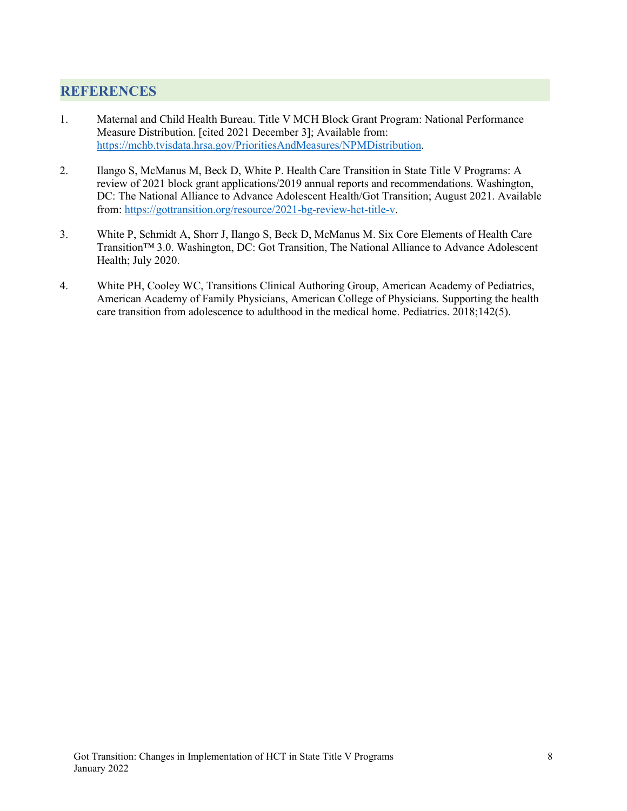## **REFERENCES**

- 1. Maternal and Child Health Bureau. Title V MCH Block Grant Program: National Performance Measure Distribution. [cited 2021 December 3]; Available from: [https://mchb.tvisdata.hrsa.gov/PrioritiesAndMeasures/NPMDistribution.](https://mchb.tvisdata.hrsa.gov/PrioritiesAndMeasures/NPMDistribution)
- 2. Ilango S, McManus M, Beck D, White P. Health Care Transition in State Title V Programs: A review of 2021 block grant applications/2019 annual reports and recommendations. Washington, DC: The National Alliance to Advance Adolescent Health/Got Transition; August 2021. Available from[: https://gottransition.org/resource/2021-bg-review-hct-title-v.](https://gottransition.org/resource/2021-bg-review-hct-title-v)
- 3. White P, Schmidt A, Shorr J, Ilango S, Beck D, McManus M. Six Core Elements of Health Care Transition™ 3.0. Washington, DC: Got Transition, The National Alliance to Advance Adolescent Health; July 2020.
- 4. White PH, Cooley WC, Transitions Clinical Authoring Group, American Academy of Pediatrics, American Academy of Family Physicians, American College of Physicians. Supporting the health care transition from adolescence to adulthood in the medical home. Pediatrics. 2018;142(5).